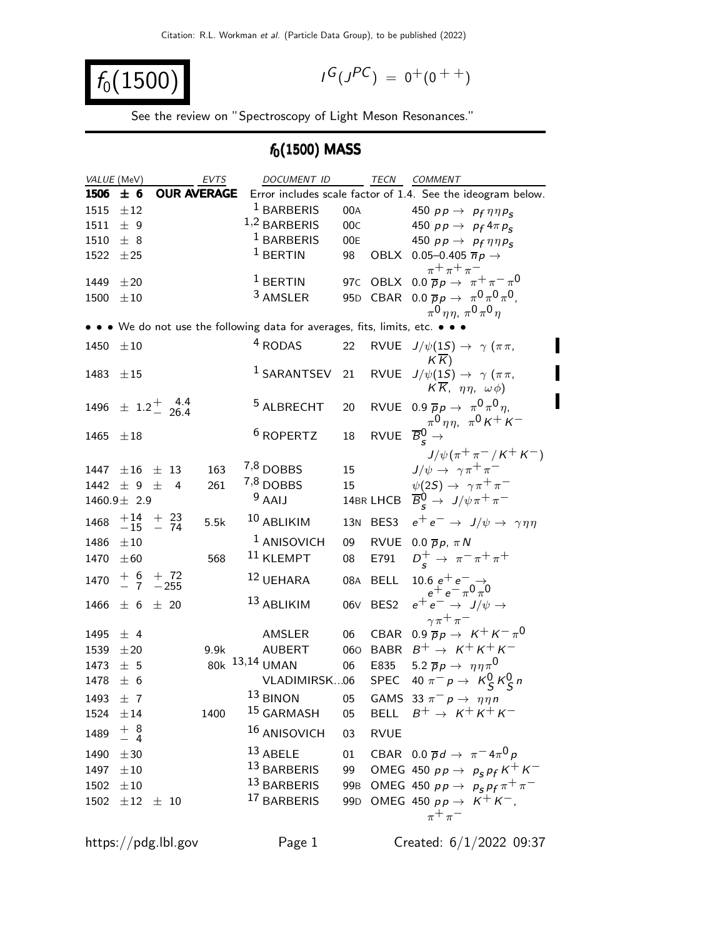$$
f_0(1500) \qquad \qquad \blacksquare
$$

$$
I^G(J^{PC}) = 0^+(0^{++})
$$

See the review on "Spectroscopy of Light Meson Resonances."

## $f_0(1500)$  MASS

| VALUE (MeV)   |                                           |                         | <b>EVTS</b> | DOCUMENT ID                                                             |                 | TECN                                    | <b>COMMENT</b>                                                                  |
|---------------|-------------------------------------------|-------------------------|-------------|-------------------------------------------------------------------------|-----------------|-----------------------------------------|---------------------------------------------------------------------------------|
| 1506          | ± 6                                       | <b>OUR AVERAGE</b>      |             |                                                                         |                 |                                         | Error includes scale factor of 1.4. See the ideogram below.                     |
| 1515          | ±12                                       |                         |             | <sup>1</sup> BARBERIS                                                   | 00A             |                                         | 450 $pp \rightarrow pp \eta \eta p_S$                                           |
| 1511          | ± 9                                       |                         |             | $1,2$ BARBERIS                                                          | 00C             |                                         | 450 $pp \rightarrow p_f 4 \pi p_s$                                              |
| 1510          | ± 8                                       |                         |             | <sup>1</sup> BARBERIS                                                   | 00E             |                                         | 450 $pp \rightarrow pp \eta \eta p_S$                                           |
| 1522          | ±25                                       |                         |             | $1$ BERTIN                                                              | 98              |                                         | OBLX 0.05-0.405 $\overline{n}p \rightarrow$                                     |
|               |                                           |                         |             |                                                                         |                 |                                         | $\pi^+ \pi^+ \pi^-$                                                             |
| 1449          | ±20                                       |                         |             | $1$ BERTIN                                                              | 97c             |                                         | OBLX $0.0 \overline{p}p \rightarrow \pi^+ \pi^- \pi^0$                          |
| 1500          | $\pm 10$                                  |                         |             | 3 AMSLER                                                                |                 |                                         | 95D CBAR 0.0 $\bar{p}p \to \pi^0 \pi^0 \pi^0$ ,                                 |
|               |                                           |                         |             |                                                                         |                 |                                         | $\pi^{0}$ nn, $\pi^{0}$ $\pi^{0}$ n                                             |
|               |                                           |                         |             | • • We do not use the following data for averages, fits, limits, etc. • |                 |                                         |                                                                                 |
| 1450          | $\pm 10$                                  |                         |             | <sup>4</sup> RODAS                                                      | 22              | <b>RVUE</b>                             | $J/\psi(15) \rightarrow \gamma (\pi \pi,$                                       |
|               |                                           |                         |             |                                                                         |                 |                                         | $K\overline{K}$                                                                 |
| 1483          | $\pm 15$                                  |                         |             | <sup>1</sup> SARANTSEV                                                  | 21              | <b>RVUE</b>                             | $J/\psi(1S) \rightarrow \gamma (\pi \pi,$                                       |
|               |                                           |                         |             |                                                                         |                 |                                         | $K\overline{K}$ , $\eta\eta$ , $\omega\phi$ )                                   |
| 1496          |                                           | $\pm$ 1.2 $^{+}$ 4.4    |             | <sup>5</sup> ALBRECHT                                                   | 20              |                                         | RVUE 0.9 $\overline{p}p \rightarrow \pi^0 \pi^0 \eta$ ,                         |
|               |                                           |                         |             |                                                                         |                 |                                         | $\pi^{0}\eta\eta$ , $\pi^{0}\kappa^{+}\kappa^{-}$                               |
| 1465          | $\pm 18$                                  |                         |             | <sup>6</sup> ROPERTZ                                                    | 18              | RVUE $\overline{B}_{s}^{0} \rightarrow$ |                                                                                 |
|               |                                           |                         |             |                                                                         |                 |                                         | $J/\psi(\pi^+\pi^-/K^+K^-)$                                                     |
| 1447          | $\pm 16$                                  | $\pm$ 13                | 163         | 7,8 DOBBS                                                               | 15              |                                         | $J/\psi \rightarrow \gamma \pi^+ \pi^-$                                         |
| 1442          | $\pm$ 9 $\pm$                             | 4                       | 261         | <sup>7,8</sup> DOBBS                                                    | 15              |                                         | $\psi(2S) \rightarrow \gamma \pi^+ \pi^-$                                       |
|               | 1460.9 $\pm$ 2.9                          |                         |             | $9$ AAIJ                                                                |                 |                                         | 14BR LHCB $\overline{B}_{s}^{0} \rightarrow J/\psi \pi^{+} \pi^{-}$             |
| 1468          |                                           | $+14$ + 23<br>-15 - 74  | 5.5k        | 10 ABLIKIM                                                              | 13N             | BES3                                    | $e^+e^- \rightarrow J/\psi \rightarrow \gamma \eta \eta$                        |
|               |                                           |                         |             |                                                                         |                 |                                         |                                                                                 |
| 1486          | $\pm 10$                                  |                         |             | <sup>1</sup> ANISOVICH                                                  | 09              |                                         | RVUE 0.0 $\overline{p}p$ , $\pi N$                                              |
| 1470          | $\pm 60$                                  |                         | 568         | $11$ KLEMPT                                                             | 08              | E791                                    | $D_s^+ \to \pi^- \pi^+ \pi^+$                                                   |
| 1470          |                                           | $+ 6 + 72$<br>- 7 - 255 |             | 12 UEHARA                                                               | 08A             | <b>BELL</b>                             | 10.6 $e^+e^ \rightarrow$<br>$e^+e^ \pi^0\pi^0$                                  |
|               |                                           |                         |             | 13 ABLIKIM                                                              |                 |                                         | $e^+e^- \rightarrow J/\psi \rightarrow$                                         |
| 1466          | ± 6                                       | $\pm$ 20                |             |                                                                         | 06 <sub>V</sub> | BES <sub>2</sub>                        | $\gamma \pi^+ \pi^-$                                                            |
| 1495          | $±$ 4                                     |                         |             | AMSLER                                                                  | 06              | CBAR                                    | 0.9 $\overline{p}p \rightarrow K^+ K^- \pi^0$                                   |
| 1539          | ±20                                       |                         | 9.9k        | <b>AUBERT</b>                                                           | 060             |                                         | BABR $B^+ \rightarrow K^+K^+K^-$                                                |
| 1473          | ±5                                        |                         |             | 80k 13,14 UMAN                                                          | 06              | E835                                    | 5.2 $\overline{p}p \rightarrow \eta \eta \pi^0$                                 |
| 1478          | ± 6                                       |                         |             | VLADIMIRSK06                                                            |                 | SPEC                                    |                                                                                 |
|               |                                           |                         |             | 13 BINON                                                                |                 |                                         | 40 $\pi^- p \to K^0_S K^0_S n$                                                  |
| 1493          | ±7                                        |                         |             |                                                                         | 05              |                                         | GAMS 33 $\pi^- p \rightarrow \eta \eta n$<br>BELL $B^+ \rightarrow K^+ K^+ K^-$ |
| 1524 $\pm$ 14 |                                           |                         | 1400        | <sup>15</sup> GARMASH                                                   | 05              |                                         |                                                                                 |
| 1489          | $\begin{array}{c} + 8 \\ - 4 \end{array}$ |                         |             | 16 ANISOVICH                                                            | 03              | <b>RVUE</b>                             |                                                                                 |
| 1490          | $\pm 30$                                  |                         |             | $13$ ABELE                                                              | 01              |                                         | CBAR 0.0 $\overline{p}d \rightarrow \pi^{-}4\pi^{0}p$                           |
| 1497          | $\pm 10$                                  |                         |             | 13 BARBERIS                                                             |                 |                                         | 99 OMEG 450 $p p \to p_S p_f K^+ K^-$                                           |
| 1502 $\pm 10$ |                                           |                         |             | 13 BARBERIS                                                             |                 |                                         | 99B OMEG 450 $pp \to p_S p_f \pi^+ \pi^-$                                       |
|               |                                           | $1502 \pm 12 \pm 10$    |             | 17 BARBERIS                                                             |                 |                                         | 99D OMEG 450 $pp \rightarrow K^+ K^-$ ,                                         |
|               |                                           |                         |             |                                                                         |                 |                                         | $\pi^+\pi^-$                                                                    |
|               |                                           |                         |             |                                                                         |                 |                                         |                                                                                 |

https://pdg.lbl.gov Page 1 Created:  $6/1/2022$  09:37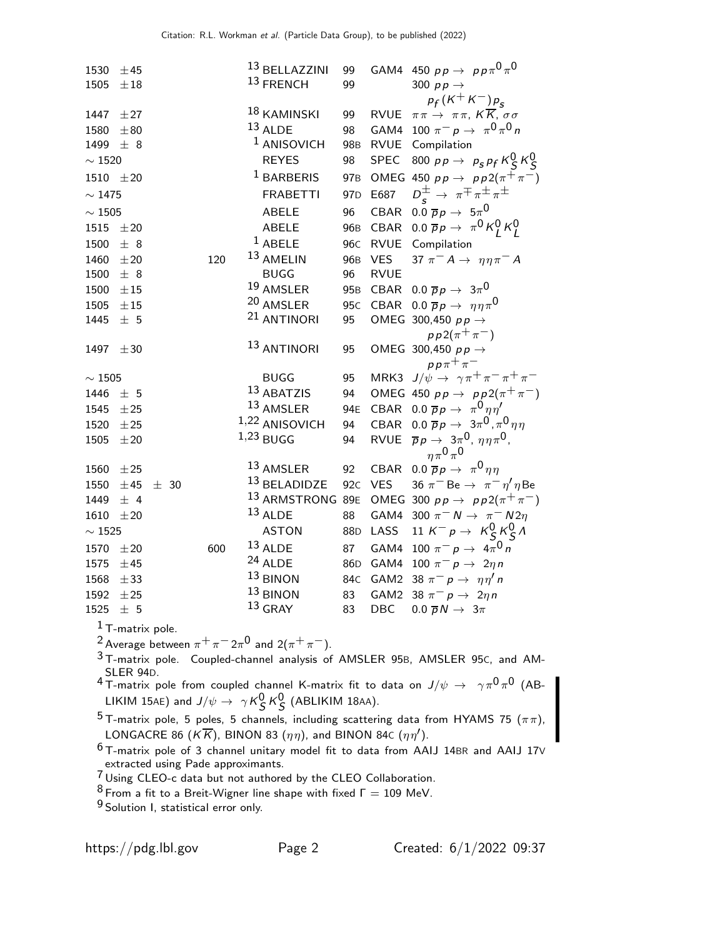| 1530          | ±45      |          |     | 13 BELLAZZINI               | 99              |             | GAM4 450 $p p \rightarrow p p \pi^0 \pi^0$                             |
|---------------|----------|----------|-----|-----------------------------|-----------------|-------------|------------------------------------------------------------------------|
| 1505          | $\pm 18$ |          |     | 13 FRENCH                   | 99              |             | 300 $pp \rightarrow$                                                   |
|               |          |          |     |                             |                 |             | $p_f(K^+K^-)p_s$                                                       |
| 1447          | $\pm 27$ |          |     | 18 KAMINSKI                 | 99              |             | RVUE $\pi \pi \to \pi \pi$ , $K \overline{K}$ , $\sigma \sigma$        |
| 1580          | ±80      |          |     | $13$ ALDE                   | 98              |             | GAM4 100 $\pi^- p \to \pi^0 \pi^0 n$                                   |
| 1499          | ± 8      |          |     | <sup>1</sup> ANISOVICH      | 98 <sub>B</sub> |             | RVUE Compilation                                                       |
| $\sim 1520$   |          |          |     | <b>REYES</b>                | 98              | <b>SPEC</b> | 800 pp $\rightarrow$ p <sub>s</sub> pf $K_S^0 K_S^0$                   |
| 1510 $\pm 20$ |          |          |     | $1$ BARBERIS                | 97 <sub>B</sub> |             | OMEG 450 $pp \rightarrow pp2(\pi^{+}\pi^{-})$                          |
| $\sim$ 1475   |          |          |     | <b>FRABETTI</b>             | 97 <sub>D</sub> | E687        | $D_s^{\pm} \rightarrow \pi^{\mp} \pi^{\pm} \pi^{\pm}$                  |
| $\sim$ 1505   |          |          |     | <b>ABELE</b>                | 96              | CBAR        | $0.0 \overline{p}p \rightarrow 5\pi^0$                                 |
| 1515          | $\pm 20$ |          |     | ABELE                       | 96 <sub>B</sub> | CBAR        | $0.0 \overline{p}p \rightarrow \pi^0 K_l^0 K_l^0$                      |
| 1500          | ± 8      |          |     | $1$ ABELE                   | 96 <sub>C</sub> |             | RVUE Compilation                                                       |
| 1460          | $\pm 20$ |          | 120 | 13 AMELIN                   | 96 <sub>B</sub> | <b>VES</b>  | 37 $\pi^- A \rightarrow \eta \eta \pi^- A$                             |
| 1500          | ± 8      |          |     | <b>BUGG</b>                 | 96              | <b>RVUE</b> |                                                                        |
| 1500          | $\pm 15$ |          |     | 19 AMSLER                   | 95 <sub>B</sub> |             | CBAR 0.0 $\overline{p}p \rightarrow 3\pi^0$                            |
| 1505          | $\pm 15$ |          |     | 20 AMSLER                   | 95 <sub>C</sub> |             | CBAR 0.0 $\overline{p}p \rightarrow \eta \eta \pi^{0}$                 |
| 1445          | ±5       |          |     | <sup>21</sup> ANTINORI      | 95              |             | OMEG 300,450 $p p \rightarrow$                                         |
|               |          |          |     |                             |                 |             | $pp2(\pi^{+}\pi^{-})$                                                  |
| 1497          | $\pm 30$ |          |     | 13 ANTINORI                 | 95              |             | OMEG 300,450 $p p \rightarrow$                                         |
|               |          |          |     |                             |                 |             | $pp\pi^+\pi^-$                                                         |
| $\sim 1505$   |          |          |     | <b>BUGG</b>                 | 95              |             | MRK3 $J/\psi \rightarrow \gamma \pi^+ \pi^- \pi^+ \pi^-$               |
| 1446          | ± 5      |          |     | 13 ABATZIS                  | 94              |             | OMEG 450 $pp \rightarrow pp2(\pi^{+}\pi^{-})$                          |
| 1545          | ±25      |          |     | 13 AMSLER                   | 94E             |             | CBAR 0.0 $\overline{p}p \rightarrow \pi^0 \eta \eta^{\prime}$          |
| 1520          | ±25      |          |     | 1,22 ANISOVICH              | 94              |             | CBAR 0.0 $\overline{p}p \rightarrow 3\pi^0$ , $\pi^0 \eta \eta$        |
| 1505          | $\pm 20$ |          |     | $1,23$ BUGG                 | 94              |             | RVUE $\overline{p}p \to 3\pi^0$ , $\eta \eta \pi^0$ ,<br>$n\pi^0\pi^0$ |
| 1560          | ±25      |          |     | 13 AMSLER                   | 92              | CBAR        | $0.0 \overline{p}p \rightarrow \pi^0 \eta \eta$                        |
| 1550          | ±45      | $\pm$ 30 |     | 13 BELADIDZE                | 92 <sub>C</sub> | <b>VES</b>  | 36 $\pi^-$ Be $\rightarrow \pi^- \eta' \eta$ Be                        |
| 1449          | $±$ 4    |          |     | <sup>13</sup> ARMSTRONG 89E |                 |             | OMEG 300 $pp \rightarrow pp2(\pi^{+}\pi^{-})$                          |
| 1610          | $\pm 20$ |          |     | $13$ ALDE                   | 88              |             | GAM4 300 $\pi^- N \rightarrow \pi^- N 2\eta$                           |
| $\sim 1525$   |          |          |     | <b>ASTON</b>                | 88 <sub>D</sub> | LASS        | 11 $K^- p \rightarrow K_S^0 K_S^0 \Lambda$                             |
| 1570          | $\pm 20$ |          | 600 | $13$ ALDE                   | 87              | GAM4        | 100 $\pi^- p \to 4\pi^0 n$                                             |
| 1575          | ±45      |          |     | $24$ ALDE                   | 86 <sub>D</sub> | GAM4        | 100 $\pi^- p \to 2\eta n$                                              |
| 1568          | ± 33     |          |     | $13$ BINON                  | 84C             | GAM2        | 38 $\pi^-$ p $\rightarrow \eta \eta'$ n                                |
| 1592          | ±25      |          |     | $13$ BINON                  | 83              | GAM2        | 38 $\pi^- p \rightarrow 2\eta n$                                       |
| 1525          | ±5       |          |     | $13$ GRAY                   | 83              | DBC         | $0.0 \overline{p} N \rightarrow 3\pi$                                  |
|               |          |          |     |                             |                 |             |                                                                        |

 $1$  T-matrix pole.

 $^2$  Average between  $\pi^+\pi^ 2\pi^0$  and  $2(\pi^+\pi^-)$ .

3 T-matrix pole. Coupled-channel analysis of AMSLER 95B, AMSLER 95C, and AM-SLER 94D.<br><sup>4</sup> T-matrix pole from coupled channel K-matrix fit to data on  $J/\psi\,\rightarrow\;\;\gamma\pi^0\pi^0$  (AB-

LIKIM 15AE) and  $J/\psi \rightarrow \gamma K_S^0 K_S^0$  (ABLIKIM 18AA).

 $^5$ T-matrix pole, 5 poles, 5 channels, including scattering data from HYAMS 75  $(\pi \pi),$ LONGACRE 86 (K $\overline{K}$ ), BINON 83 ( $\eta\eta$ ), and BINON 84c ( $\eta\eta'$ ).

 $^6$ T-matrix pole of 3 channel unitary model fit to data from AAIJ 14BR and AAIJ 17V extracted using Pade approximants.

<sup>7</sup> Using CLEO-c data but not authored by the CLEO Collaboration.

 $8$  From a fit to a Breit-Wigner line shape with fixed  $\Gamma = 109$  MeV.

9 Solution I, statistical error only.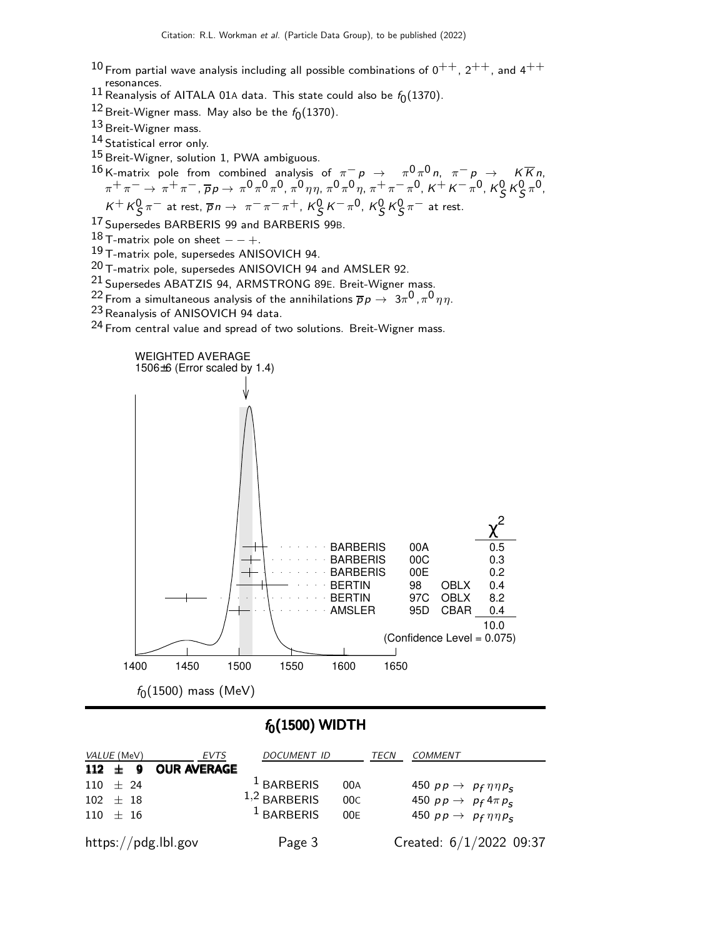- $10$  From partial wave analysis including all possible combinations of  $0^{++}$ ,  $2^{++}$ , and  $4^{++}$ resonances.
- $^{11}$  Reanalysis of AITALA 01A data. This state could also be  $f_0(1370)$ .
- $^{12}$ Breit-Wigner mass. May also be the  $f_0(1370)$ .
- 13 Breit-Wigner mass.
- 14 Statistical error only.
- 15 Breit-Wigner, solution 1, PWA ambiguous.

 $^{16}$  K-matrix pole from combined analysis of  $\pi^ p$   $\;\rightarrow$   $\;\;\pi^0 \pi^0 \,$ n,  $\pi^ p$   $\;\rightarrow$   $\;\;$  K  $\overline{K}$ n,  $\pi^+ \pi^- \to \pi^+ \pi^-, \overline{\rho}_{\mathcal{P}} \to \pi^0 \pi^0 \pi^0, \pi^0 \eta \eta, \pi^0 \pi^0 \eta, \pi^+ \pi^- \pi^0, \kappa^+ \kappa^- \pi^0, \kappa^0_\mathcal{S} \kappa^0_\mathcal{S} \pi^0,$  $K^+ K^0_S \pi^-$  at rest,  $\overline{p} n \to \pi^- \pi^- \pi^+$ ,  $K^0_S K^- \pi^0$ ,  $K^0_S K^0_S \pi^-$  at rest.

17 Supersedes BARBERIS 99 and BARBERIS 99B.

18 T-matrix pole on sheet  $- - +$ .

19 T-matrix pole, supersedes ANISOVICH 94.

 $^{20}$  T-matrix pole, supersedes ANISOVICH 94 and AMSLER 92.

 $^{21}$  Supersedes ABATZIS 94, ARMSTRONG 89E. Breit-Wigner mass.

 $^{22}$  From a simultaneous analysis of the annihilations  $\overline{p} \, p \rightarrow \ 3\pi^0$  ,  $\pi^0 \, \eta \eta$ .

23 Reanalysis of ANISOVICH 94 data.

24 From central value and spread of two solutions. Breit-Wigner mass.



### $f_0(1500)$  WIDTH

| <i>VALUE</i> (MeV)<br>EVTS | <b>DOCUMENT ID</b>    | TECN | <b>COMMENT</b>                        |
|----------------------------|-----------------------|------|---------------------------------------|
| 112 $\pm$ 9 OUR AVERAGE    |                       |      |                                       |
| $110 \pm 24$               | <sup>1</sup> BARBERIS | 00A  | 450 $pp \rightarrow pp \eta \eta p_s$ |
| $102 + 18$                 | $1,2$ BARBERIS        | 00C  | 450 $pp \rightarrow p_f 4 \pi p_s$    |
| $110 + 16$                 | <sup>1</sup> BARBERIS | 00E  | 450 $pp \rightarrow pp \eta \eta p_s$ |
| https://pdg.lbl.gov        | Page 3                |      | Created: 6/1/2022 09:37               |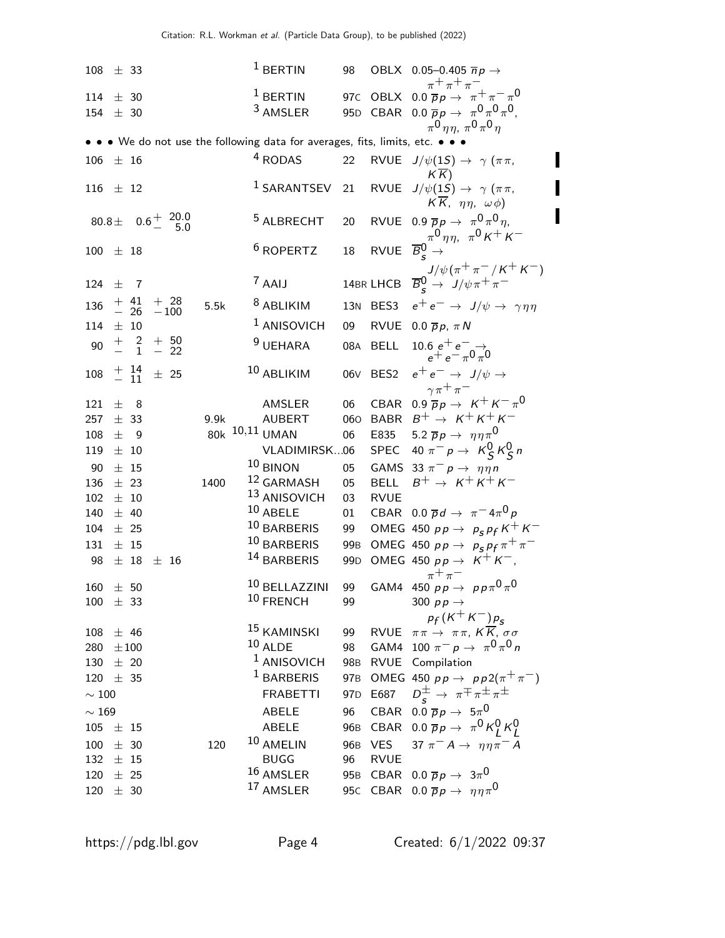$108 \pm 33$   $1 \text{ BERTIN}$  98 OBLX 0.05-0.405  $\overline{n}p \rightarrow$  $\pi^+ \pi^+ \pi^-$ 114  $\pm$  30 1 BERTIN 97C OBLX 0.0  $\bar{p}p \rightarrow \pi^+ \pi^- \pi^0$ 154  $\pm$  30 <sup>3</sup> AMSLER 95D CBAR 0.0  $\overline{p}p \to \pi^0 \pi^0 \pi^0$ ,  $\pi^{\mathsf{0}}\, \eta\, \eta,\ \pi^{\mathsf{0}}\, \pi^{\mathsf{0}}\, \eta$ • • • We do not use the following data for averages, fits, limits, etc. • • • 106  $\pm$  16  $4$  RODAS 22 RVUE  $J/\psi(1S) \rightarrow \gamma (\pi \pi,$  $K\overline{K}$ 116  $\pm$  12 1 SARANTSEV 21 RVUE  $J/\psi(1S) \rightarrow \gamma (\pi \pi,$  $K \overline{K}$ ,  $\eta \eta$ ,  $\omega \phi$ )  $80.8\pm$  0.6<sup>+</sup>  $^{20.0}_{5.0}$ − 5.0 <sup>5</sup> ALBRECHT 20 RVUE 0.9  $\overline{p}p \rightarrow \pi^0 \pi^0 \eta$ ,  $\pi^0 \eta \eta$ ,  $\pi^0 \kappa^+ \kappa^-$ 100  $\pm$  18 6 ROPERTZ 18 RVUE  $\overline{B}_{s}^{0} \rightarrow$  $J/\psi(\pi^+\pi^-/\kappa^+\kappa^-)$  $124 + 7$ <sup>7</sup> AAIJ 14BR LHCB  $\overline{B}_{s}^{0} \rightarrow J/\psi \pi^{+} \pi^{-}$  $136$   $+$   $41$ <br> $26$  $+$  28<br> $-100$ 5.5k <sup>8</sup> ABLIKIM 13N BES3  $e^+e^- \rightarrow J/\psi \rightarrow \gamma \eta \eta$ <br><sup>1</sup> ANISOVICH 09 RVUE 0.0  $\overline{p}p$ ,  $\pi N$ 114  $\pm$  10  $\pm$  ANISOVICH 09 RVUE 0.0  $\overline{p}p$ ,  $\pi N$ 90  $\frac{+}{-}$   $\frac{2}{1}$ + 50 − 22  $^{9}$ UEHARA 08A BELL 10.6  $e^+e^-$ →  $e^+ e^- \pi^0 \pi^0$  $108$   $+$   $14$   $+$  25 <sup>10</sup> ABLIKIM 06∨ BES2  $e^+e^- \rightarrow J/\psi \rightarrow$  $\gamma \pi^+ \pi^-$ 121  $\pm$  8 AMSLER 06 CBAR 0.9  $\overline{p}p \rightarrow K^+K^-\pi^0$  $257 \pm 33$  9.9k AUBERT 060 BABR  $B^+ \to K^+ K^+ K^-$ <br>108  $\pm$  9 80k <sup>10,11</sup> UMAN 06 E835 5.2  $\overline{p}p \to \eta \eta \pi^0$ 108  $\pm$  9 80k <sup>10,11</sup> UMAN 06 E835 5.2  $\bar{p}p \to \eta \eta \pi^0$ 119 ± 10 VLADIMIRSK...06 SPEC 40  $\pi^- p \to K_S^0 K_S^0 n$ 90  $\pm$  15 10 BINON 05 GAMS 33  $\pi^- p \to \eta \eta n$  $136 \pm 23$  1400  $12$  GARMASH 05 BELL  $B^+ \rightarrow K^+ K^+ K^ 102 \pm 10$   $13$  ANISOVICH 03 RVUE  $140~\pm~40$   $10~\mathrm{ABELE}$  01 CBAR  $0.0~\overline{p}d\rightarrow~\pi^-4\pi^0p$ 104  $\pm$  25 10 BARBERIS 99 OMEG 450 pp  $\rightarrow$  p<sub>s</sub> p<sub>f</sub> K<sup>+</sup> K<sup>-</sup> 131 ± 15  $\frac{10}{11}$  BARBERIS 99B OMEG 450 pp  $\rightarrow$   $p_s p_f \pi^+ \pi^ 98 \pm 18 \pm 16$  14 BARBERIS 99D OMEG 450  $pp \to K^+ K^-$ ,  $\pi^+ \pi^ 160~\pm~50$   $10$  BELLAZZINI 99 GAM4 450  $p \, \rightarrow \, p \, p \, \pi^0 \, \pi^0$  $100 \pm 33$   $10$  FRENCH 99 300 pp  $\rightarrow$  $p_f$  (K<sup>+</sup> K<sup>−</sup>) $p_s$ 108  $\pm$  46 15 KAMINSKI 99 RVUE  $\pi \pi \rightarrow \pi \pi$ ,  $K \overline{K}$ ,  $\sigma \sigma$ <br>280  $\pm$  100 10 ALDE 98 GAM4 100  $\pi^- p \rightarrow \pi^0 \pi^0 r$ 280  $\pm 100$  10 ALDE 98 GAM4 100  $\pi^ p$   $\rightarrow$   $\pi^0$   $\pi^0$   $n$  $130 \pm 20$  1 ANISOVICH 98B RVUE Compilation 120 ± 35 <sup>1</sup> BARBERIS 97B OMEG 450  $p p \rightarrow p p 2(\pi^+ \pi^-)$  $\sim 100$  FRABETTI 97D E687  $\frac{\pm}{s}$   $\rightarrow$   $\pi \pm \pi \pm \pi \pm \pi$  $\sim 169$  ABELE 96 CBAR 0.0  $\overline{p}p \rightarrow 5\pi^0$  $105 \pm 15$  ABELE 96B CBAR  $0.0 \overline{p} p \rightarrow \pi^0 K^0_L K^0_L$ 100 ± 30 120 <sup>10</sup> AMELIN 96B VES 37  $\pi^- A \to \eta \eta \pi^- A$  $132 \pm 15$  BUGG 96 RVUE  $120~\pm~25 ~~~~~~~~~~~16 ~\text{AMSLER} ~~~~~~~95$ B CBAR  $0.0 ~\overline{p} p \rightarrow ~3 \pi^0$ 120  $\pm$  30 17 AMSLER 95C CBAR 0.0  $\overline{p}p \rightarrow \eta \eta \pi^{0}$ 

П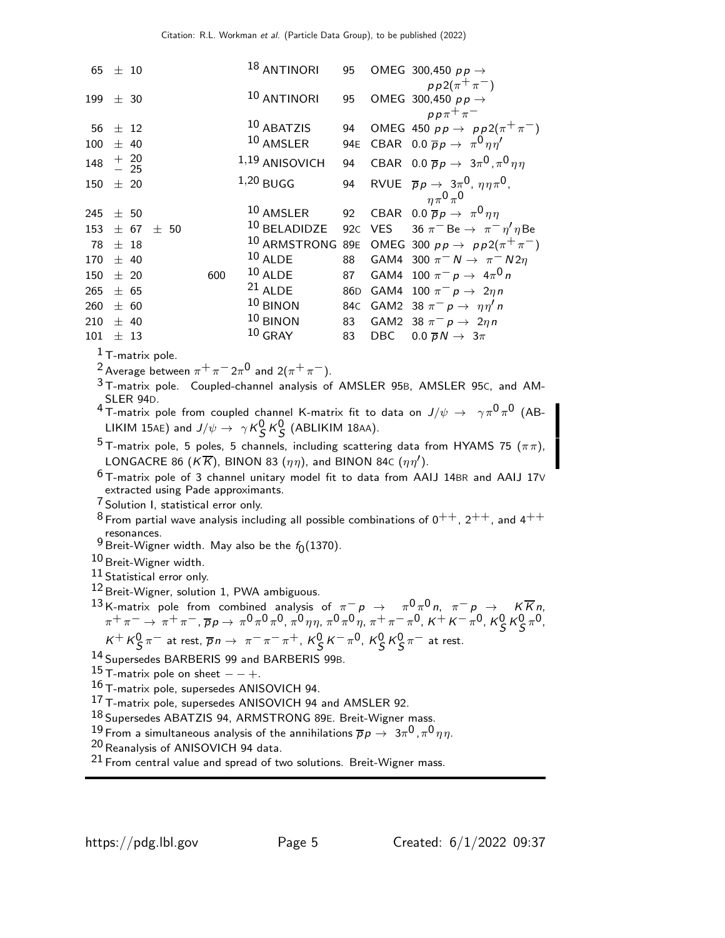| 65  |                                                                                                                                                                                                                                                                                              | ± 10                                            |  |                                                  |     |  | 18 ANTINORI                                                                                                         | 95              |            | OMEG 300,450 $p p \rightarrow$                                                                                   |
|-----|----------------------------------------------------------------------------------------------------------------------------------------------------------------------------------------------------------------------------------------------------------------------------------------------|-------------------------------------------------|--|--------------------------------------------------|-----|--|---------------------------------------------------------------------------------------------------------------------|-----------------|------------|------------------------------------------------------------------------------------------------------------------|
|     |                                                                                                                                                                                                                                                                                              |                                                 |  |                                                  |     |  | 10 ANTINORI                                                                                                         | 95              |            | $pp2(\pi^{+}\pi^{-})$<br>OMEG 300,450 $p p \rightarrow$                                                          |
| 199 |                                                                                                                                                                                                                                                                                              | ± 30                                            |  |                                                  |     |  |                                                                                                                     |                 |            | $pp\pi^+\pi^-$                                                                                                   |
| 56  |                                                                                                                                                                                                                                                                                              | $\pm$ 12                                        |  |                                                  |     |  | 10 ABATZIS                                                                                                          | 94              |            | OMEG 450 $pp \rightarrow pp2(\pi^{+}\pi^{-})$                                                                    |
| 100 |                                                                                                                                                                                                                                                                                              | ± 40                                            |  |                                                  |     |  | 10 AMSLER                                                                                                           | 94E             |            | CBAR 0.0 $\overline{p}p \rightarrow \pi^0 \eta \eta^{\prime}$                                                    |
| 148 |                                                                                                                                                                                                                                                                                              | $\begin{array}{c} + & 20 \\ - & 25 \end{array}$ |  |                                                  |     |  | 1,19 ANISOVICH                                                                                                      | 94              |            | CBAR 0.0 $\overline{p}p \rightarrow 3\pi^0$ , $\pi^0 \eta\eta$                                                   |
| 150 |                                                                                                                                                                                                                                                                                              | ± 20                                            |  |                                                  |     |  | $1,20$ BUGG                                                                                                         | 94              |            | RVUE $\overline{p}p \rightarrow 3\pi^0$ , $\eta \eta \pi^0$ ,<br>$n\pi^0\pi^0$                                   |
| 245 |                                                                                                                                                                                                                                                                                              | ± 50                                            |  |                                                  |     |  | 10 AMSLER                                                                                                           | 92              |            | CBAR 0.0 $\overline{p}p \rightarrow \pi^0 \eta \eta$                                                             |
| 153 |                                                                                                                                                                                                                                                                                              | ± 67                                            |  | ± 50                                             |     |  | $^{10}$ BELADIDZE                                                                                                   | 92C             | <b>VES</b> | 36 $\pi^-$ Be $\rightarrow \pi^- \eta' \eta$ Be                                                                  |
| 78  |                                                                                                                                                                                                                                                                                              | $±$ 18                                          |  |                                                  |     |  |                                                                                                                     |                 |            | <sup>10</sup> ARMSTRONG 89E OMEG 300 $pp \rightarrow pp2(\pi^{+}\pi^{-})$                                        |
| 170 |                                                                                                                                                                                                                                                                                              | ± 40                                            |  |                                                  |     |  | $10$ ALDE                                                                                                           | 88              |            | GAM4 300 $\pi^- N \rightarrow \pi^- N 2\eta$                                                                     |
| 150 |                                                                                                                                                                                                                                                                                              | $\pm$ 20                                        |  |                                                  | 600 |  | $10$ ALDE                                                                                                           | 87              |            | GAM4 100 $\pi^- p \to 4\pi^0 n$                                                                                  |
| 265 |                                                                                                                                                                                                                                                                                              | ± 65                                            |  |                                                  |     |  | $^{21}$ ALDE                                                                                                        | 86 <sub>D</sub> |            | GAM4 100 $\pi^- p \rightarrow 2\eta n$                                                                           |
| 260 |                                                                                                                                                                                                                                                                                              | ± 60                                            |  |                                                  |     |  | $10$ BINON                                                                                                          | 84C             |            | GAM2 38 $\pi^ p \rightarrow \eta \eta'$ n                                                                        |
| 210 |                                                                                                                                                                                                                                                                                              | ± 40                                            |  |                                                  |     |  | $10$ BINON                                                                                                          | 83              |            | GAM2 38 $\pi^- p \rightarrow 2\eta n$                                                                            |
| 101 |                                                                                                                                                                                                                                                                                              | $\pm$ 13                                        |  |                                                  |     |  | $10$ GRAY                                                                                                           | 83              | DBC        | $0.0 \overline{p} N \rightarrow 3\pi$                                                                            |
|     |                                                                                                                                                                                                                                                                                              | $1$ T-matrix pole.                              |  |                                                  |     |  |                                                                                                                     |                 |            |                                                                                                                  |
|     |                                                                                                                                                                                                                                                                                              |                                                 |  |                                                  |     |  | <sup>2</sup> Average between $\pi^+\pi^-2\pi^0$ and $2(\pi^+\pi^-)$ .                                               |                 |            |                                                                                                                  |
|     |                                                                                                                                                                                                                                                                                              |                                                 |  |                                                  |     |  |                                                                                                                     |                 |            | <sup>3</sup> T-matrix pole. Coupled-channel analysis of AMSLER 95B, AMSLER 95C, and AM-                          |
|     |                                                                                                                                                                                                                                                                                              | SLER 94D.                                       |  |                                                  |     |  |                                                                                                                     |                 |            |                                                                                                                  |
|     |                                                                                                                                                                                                                                                                                              |                                                 |  |                                                  |     |  |                                                                                                                     |                 |            | $^4$ T-matrix pole from coupled channel K-matrix fit to data on $J/\psi\,\rightarrow\,\,\,\gamma\pi^0\pi^0$ (AB- |
|     |                                                                                                                                                                                                                                                                                              |                                                 |  |                                                  |     |  | LIKIM 15AE) and $J/\psi \rightarrow \gamma K_S^0 K_S^0$ (ABLIKIM 18AA).                                             |                 |            |                                                                                                                  |
|     |                                                                                                                                                                                                                                                                                              |                                                 |  |                                                  |     |  |                                                                                                                     |                 |            | $^5$ T-matrix pole, 5 poles, 5 channels, including scattering data from HYAMS 75 ( $\pi\pi$ ),                   |
|     |                                                                                                                                                                                                                                                                                              |                                                 |  |                                                  |     |  | LONGACRE 86 ( $K\overline{K}$ ), BINON 83 ( $\eta\eta$ ), and BINON 84c ( $\eta\eta'$ ).                            |                 |            |                                                                                                                  |
|     |                                                                                                                                                                                                                                                                                              |                                                 |  |                                                  |     |  |                                                                                                                     |                 |            | $6$ T-matrix pole of 3 channel unitary model fit to data from AAIJ 14BR and AAIJ 17V                             |
|     |                                                                                                                                                                                                                                                                                              |                                                 |  | extracted using Pade approximants.               |     |  |                                                                                                                     |                 |            |                                                                                                                  |
|     |                                                                                                                                                                                                                                                                                              |                                                 |  | <sup>7</sup> Solution I, statistical error only. |     |  |                                                                                                                     |                 |            |                                                                                                                  |
|     |                                                                                                                                                                                                                                                                                              |                                                 |  |                                                  |     |  |                                                                                                                     |                 |            | $^8$ From partial wave analysis including all possible combinations of $0^{++}$ , $2^{++}$ , and $4^{++}$        |
|     |                                                                                                                                                                                                                                                                                              | resonances.                                     |  |                                                  |     |  | <sup>9</sup> Breit-Wigner width. May also be the $f_0(1370)$ .                                                      |                 |            |                                                                                                                  |
|     |                                                                                                                                                                                                                                                                                              |                                                 |  | 10 Breit-Wigner width.                           |     |  |                                                                                                                     |                 |            |                                                                                                                  |
|     |                                                                                                                                                                                                                                                                                              |                                                 |  | $^{11}$ Statistical error only.                  |     |  |                                                                                                                     |                 |            |                                                                                                                  |
|     |                                                                                                                                                                                                                                                                                              |                                                 |  |                                                  |     |  | <sup>12</sup> Breit-Wigner, solution 1, PWA ambiguous.                                                              |                 |            |                                                                                                                  |
|     |                                                                                                                                                                                                                                                                                              |                                                 |  |                                                  |     |  |                                                                                                                     |                 |            |                                                                                                                  |
|     | 13 K-matrix pole from combined analysis of $\pi^- p \to \pi^0 \pi^0 n$ , $\pi^- p \to K \overline{K} n$ ,<br>$\pi^+ \pi^- \to \pi^+ \pi^-$ , $\overline{p} p \to \pi^0 \pi^0 \pi^0$ , $\pi^0 \eta \eta$ , $\pi^0 \pi^0 \eta$ , $\pi^+ \pi^- \pi^0$ , $K^+ K^- \pi^0$ , $K_S^0 K_S^0 \pi^0$ , |                                                 |  |                                                  |     |  |                                                                                                                     |                 |            |                                                                                                                  |
|     | $K^+ K^0_S \pi^-$ at rest, $\overline{p}n \to \pi^- \pi^- \pi^+$ , $K^0_S K^- \pi^0$ , $K^0_S K^0_S \pi^-$ at rest.                                                                                                                                                                          |                                                 |  |                                                  |     |  |                                                                                                                     |                 |            |                                                                                                                  |
|     |                                                                                                                                                                                                                                                                                              |                                                 |  |                                                  |     |  | 14 Supersedes BARBERIS 99 and BARBERIS 99B.                                                                         |                 |            |                                                                                                                  |
|     | $15$ T-matrix pole on sheet $- +$ .                                                                                                                                                                                                                                                          |                                                 |  |                                                  |     |  |                                                                                                                     |                 |            |                                                                                                                  |
|     | 16 T-matrix pole, supersedes ANISOVICH 94.                                                                                                                                                                                                                                                   |                                                 |  |                                                  |     |  |                                                                                                                     |                 |            |                                                                                                                  |
|     |                                                                                                                                                                                                                                                                                              |                                                 |  |                                                  |     |  | 17 T-matrix pole, supersedes ANISOVICH 94 and AMSLER 92.                                                            |                 |            |                                                                                                                  |
|     |                                                                                                                                                                                                                                                                                              |                                                 |  |                                                  |     |  | 18 Supersedes ABATZIS 94, ARMSTRONG 89E. Breit-Wigner mass.                                                         |                 |            |                                                                                                                  |
|     |                                                                                                                                                                                                                                                                                              |                                                 |  |                                                  |     |  | $^{19}$ From a simultaneous analysis of the annihilations $\overline{p}p\rightarrow~$ 3 $\pi^0$ , $\pi^0\eta\eta$ . |                 |            |                                                                                                                  |
|     |                                                                                                                                                                                                                                                                                              |                                                 |  | <sup>20</sup> Reanalysis of ANISOVICH 94 data.   |     |  |                                                                                                                     |                 |            |                                                                                                                  |
|     |                                                                                                                                                                                                                                                                                              |                                                 |  |                                                  |     |  | $21$ From central value and spread of two solutions. Breit-Wigner mass.                                             |                 |            |                                                                                                                  |
|     |                                                                                                                                                                                                                                                                                              |                                                 |  |                                                  |     |  |                                                                                                                     |                 |            |                                                                                                                  |
|     |                                                                                                                                                                                                                                                                                              |                                                 |  |                                                  |     |  |                                                                                                                     |                 |            |                                                                                                                  |

▌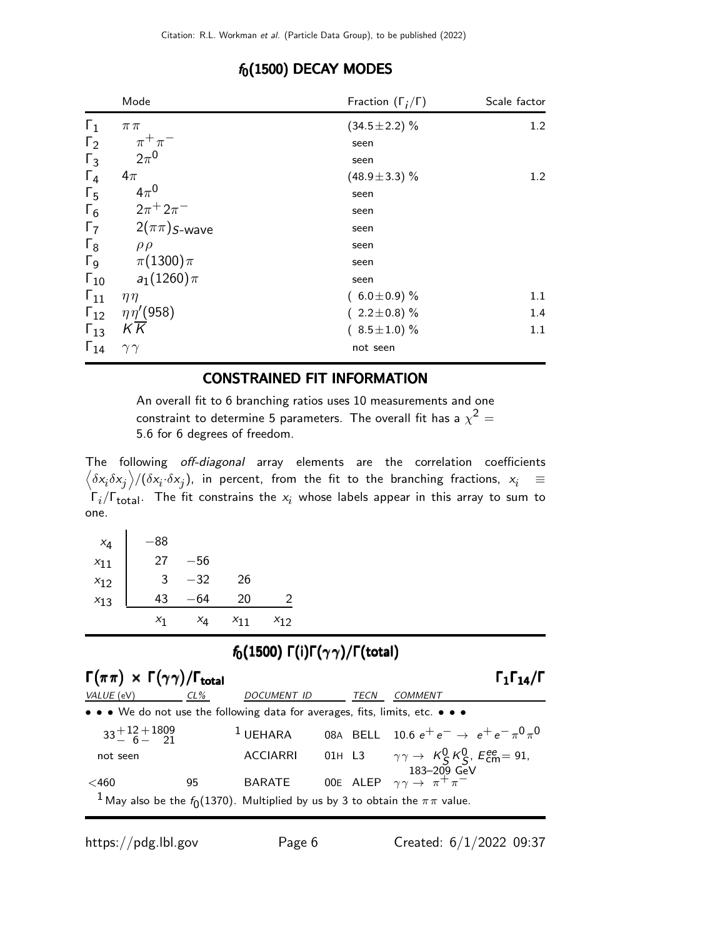|                       | Mode                           | Fraction $(\Gamma_i/\Gamma)$ | Scale factor |
|-----------------------|--------------------------------|------------------------------|--------------|
| $\Gamma_1$            | $\pi\pi$                       | $(34.5 \pm 2.2)\%$           | 1.2          |
| $\Gamma_2$            | $\pi^+\pi^-$                   | seen                         |              |
| $\Gamma_3$            | $2\pi^0$                       | seen                         |              |
| $\Gamma_4$            | $4\pi$                         | $(48.9 \pm 3.3)\%$           | 1.2          |
| $\Gamma_{5}$          | $4\pi^0$                       | seen                         |              |
| $\Gamma_6$            | $2\pi^{+} 2\pi^{-}$            | seen                         |              |
| $\Gamma_7$            | $2(\pi\pi)$ S-wave             | seen                         |              |
| $\Gamma_8$            | $\rho \rho$                    | seen                         |              |
| $\Gamma$ <sub>9</sub> | $\pi(1300)\pi$                 | seen                         |              |
| $\Gamma_{10}$         | $a_1(1260)\pi$                 | seen                         |              |
| $\Gamma_{11}$         | $\eta\eta$                     | $(6.0 \pm 0.9)$ %            | 1.1          |
|                       | $\Gamma_{12}$ $\eta\eta'(958)$ | $(2.2 \pm 0.8)\%$            | 1.4          |
| $\Gamma_{13}$         | KK                             | $(8.5 \pm 1.0)$ %            | 1.1          |
| $\Gamma_{14}$         | $\gamma\gamma$                 | not seen                     |              |

#### $f_0(1500)$  DECAY MODES

#### CONSTRAINED FIT INFORMATION

An overall fit to 6 branching ratios uses 10 measurements and one constraint to determine 5 parameters. The overall fit has a  $\chi^2 =$ 5.6 for 6 degrees of freedom.

The following off-diagonal array elements are the correlation coefficients  $\left<\delta x_i\delta x_j\right>$ / $(\delta x_i\cdot\delta x_j)$ , in percent, from the fit to the branching fractions,  $x_i$   $\;\equiv$  $\Gamma_i/\Gamma_{\rm total}$ . The fit constrains the  $x_i$  whose labels appear in this array to sum to one.

| $x_4$    | -88   |       |          |          |
|----------|-------|-------|----------|----------|
| $x_{11}$ | 27    | $-56$ |          |          |
| $x_{12}$ | 3     | $-32$ | 26       |          |
| $x_{13}$ | 43    | 64    | 20       | 2        |
|          | $x_1$ | $x_4$ | $X_{11}$ | $x_{12}$ |

### $f_0(1500)$  Γ(i)Γ( $\gamma\gamma$ )/Γ(total)

| $\Gamma(\pi\pi) \times \Gamma(\gamma\gamma)/\Gamma_{\text{total}}$ |     |                                                                                                |      | $\Gamma_1\Gamma_{14}/\Gamma$                                                               |
|--------------------------------------------------------------------|-----|------------------------------------------------------------------------------------------------|------|--------------------------------------------------------------------------------------------|
| VALUE (eV)                                                         | CL% | <b>DOCUMENT ID</b>                                                                             | TECN | COMMENT                                                                                    |
|                                                                    |     | • • • We do not use the following data for averages, fits, limits, etc. • • •                  |      |                                                                                            |
| $33^{+12}_{-6}$ + 1809                                             |     | $1$ UEHARA                                                                                     |      | 08A BELL 10.6 $e^+e^- \rightarrow e^+e^- \pi^0 \pi^0$                                      |
| not seen                                                           |     | <b>ACCIARRI</b>                                                                                |      | 01H L3 $\gamma \gamma \to K_S^0 K_S^0$ , $E_{\text{cm}}^{\text{ee}} = 91$ ,<br>183–209 GeV |
| $<$ 460                                                            | 95  | <b>BARATE</b>                                                                                  |      | 00E ALEP $\gamma \gamma \rightarrow \pi^+ \pi^-$                                           |
|                                                                    |     | <sup>1</sup> May also be the $f_0(1370)$ . Multiplied by us by 3 to obtain the $\pi\pi$ value. |      |                                                                                            |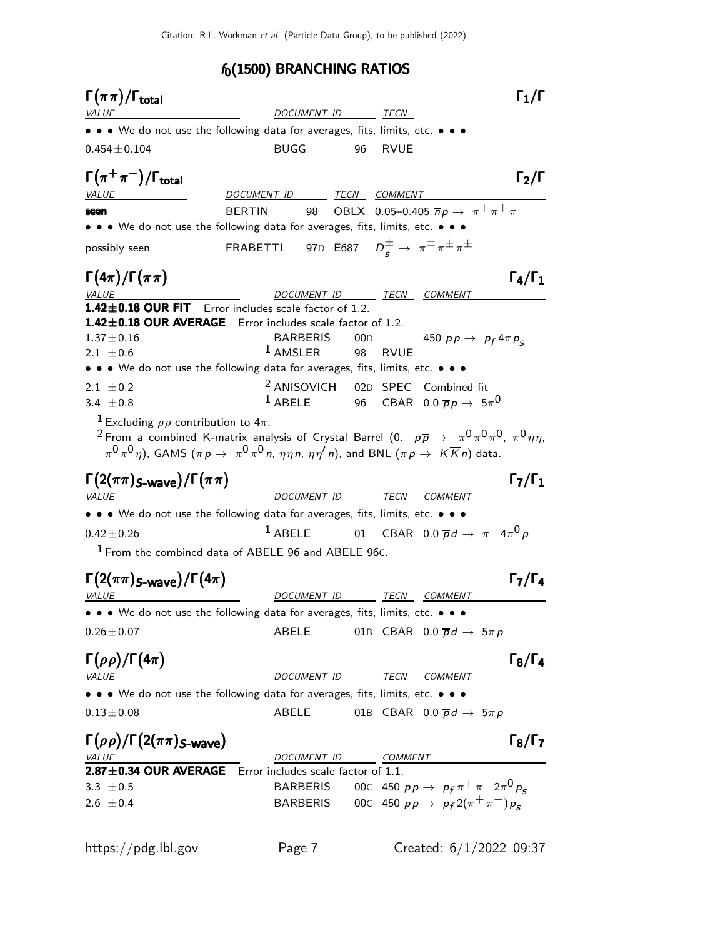# $f_0(1500)$  BRANCHING RATIOS

| $\Gamma(\pi\pi)/\Gamma_{\rm total}$                                                                                                                                                                                                                                                                                                   |                                                                               |     |             |                                                               | $\Gamma_1/\Gamma$   |
|---------------------------------------------------------------------------------------------------------------------------------------------------------------------------------------------------------------------------------------------------------------------------------------------------------------------------------------|-------------------------------------------------------------------------------|-----|-------------|---------------------------------------------------------------|---------------------|
| <b>VALUE</b>                                                                                                                                                                                                                                                                                                                          | DOCUMENT ID                                                                   |     | TECN        |                                                               |                     |
| • • • We do not use the following data for averages, fits, limits, etc. • • •                                                                                                                                                                                                                                                         |                                                                               |     |             |                                                               |                     |
| $0.454 \pm 0.104$                                                                                                                                                                                                                                                                                                                     | <b>BUGG</b>                                                                   | 96  | <b>RVUE</b> |                                                               |                     |
| $\Gamma(\pi^+\pi^-)/\Gamma_{\rm total}$                                                                                                                                                                                                                                                                                               |                                                                               |     |             |                                                               | $\Gamma_2/\Gamma$   |
| <b>VALUE</b>                                                                                                                                                                                                                                                                                                                          | DOCUMENT ID TECN COMMENT                                                      |     |             |                                                               |                     |
| <b>BERTIN</b><br>seen                                                                                                                                                                                                                                                                                                                 | 98 —                                                                          |     |             | OBLX 0.05-0.405 $\pi p \to \pi^+ \pi^+ \pi^-$                 |                     |
| • • • We do not use the following data for averages, fits, limits, etc. • • •                                                                                                                                                                                                                                                         |                                                                               |     |             |                                                               |                     |
| possibly seen                                                                                                                                                                                                                                                                                                                         | FRABETTI 97D E687 $D_{\rm s}^{\pm} \rightarrow \pi^{\mp} \pi^{\pm} \pi^{\pm}$ |     |             |                                                               |                     |
| $\Gamma(4\pi)/\Gamma(\pi\pi)$                                                                                                                                                                                                                                                                                                         |                                                                               |     |             |                                                               | $\Gamma_4/\Gamma_1$ |
| <u>VALUE</u><br>1.42±0.18 OUR FIT Error includes scale factor of 1.2.                                                                                                                                                                                                                                                                 | DOCUMENT ID TECN COMMENT                                                      |     |             |                                                               |                     |
| 1.42±0.18 OUR AVERAGE Error includes scale factor of 1.2.                                                                                                                                                                                                                                                                             |                                                                               |     |             |                                                               |                     |
| $1.37 \pm 0.16$                                                                                                                                                                                                                                                                                                                       | <b>BARBERIS</b>                                                               | 00D |             | 450 $pp \rightarrow p_f 4 \pi p_s$                            |                     |
| $2.1 \pm 0.6$                                                                                                                                                                                                                                                                                                                         | $1$ AMSLER                                                                    | 98  | <b>RVUE</b> |                                                               |                     |
| • • • We do not use the following data for averages, fits, limits, etc. • • •                                                                                                                                                                                                                                                         |                                                                               |     |             |                                                               |                     |
| 2.1 $\pm$ 0.2                                                                                                                                                                                                                                                                                                                         | <sup>2</sup> ANISOVICH 02D SPEC                                               |     |             | Combined fit                                                  |                     |
| 3.4 $\pm 0.8$                                                                                                                                                                                                                                                                                                                         | $^1$ ABELE 96 CBAR 0.0 $\overline{p}p \rightarrow 5\pi^0$                     |     |             |                                                               |                     |
| <sup>1</sup> Excluding $\rho \rho$ contribution to $4\pi$ .<br><sup>2</sup> From a combined K-matrix analysis of Crystal Barrel (0. $p\overline{p} \to \pi^0 \pi^0 \pi^0$ , $\pi^0 \eta \eta$ ,<br>$\pi^0\pi^0\eta$ ), GAMS ( $\pi p \to \pi^0\pi^0\pi$ , $\eta\eta n$ , $\eta\eta'$ n), and BNL ( $\pi p \to K\overline{K}n$ ) data. |                                                                               |     |             |                                                               |                     |
| $\Gamma(2(\pi\pi)_{S\text{-wave}})/\Gamma(\pi\pi)$                                                                                                                                                                                                                                                                                    |                                                                               |     |             |                                                               | $\Gamma_7/\Gamma_1$ |
| <b>VALUE</b><br><u> 1989 - Johann Barbara, martin di</u>                                                                                                                                                                                                                                                                              | DOCUMENT ID TECN COMMENT                                                      |     |             |                                                               |                     |
| • • • We do not use the following data for averages, fits, limits, etc. • • •                                                                                                                                                                                                                                                         |                                                                               |     |             |                                                               |                     |
| $0.42 \pm 0.26$                                                                                                                                                                                                                                                                                                                       | $1$ ABELE                                                                     |     |             | 01 CBAR 0.0 $\overline{p}d \rightarrow \pi^{-}4\pi^{0}p$      |                     |
| <sup>1</sup> From the combined data of ABELE 96 and ABELE 96C.                                                                                                                                                                                                                                                                        |                                                                               |     |             |                                                               |                     |
| $\Gamma(2(\pi\pi)_{S\text{-wave}})/\Gamma(4\pi)$                                                                                                                                                                                                                                                                                      |                                                                               |     |             |                                                               | $\Gamma_7/\Gamma_4$ |
| <i>VALUE</i>                                                                                                                                                                                                                                                                                                                          | DOCUMENT ID TECN COMMENT                                                      |     |             |                                                               |                     |
| • • • We do not use the following data for averages, fits, limits, etc. • • •                                                                                                                                                                                                                                                         |                                                                               |     |             |                                                               |                     |
| $0.26 \pm 0.07$                                                                                                                                                                                                                                                                                                                       | ABELE                                                                         |     |             | 01B CBAR 0.0 $\overline{p}d \rightarrow 5\pi p$               |                     |
|                                                                                                                                                                                                                                                                                                                                       |                                                                               |     |             |                                                               |                     |
| $\Gamma(\rho\rho)/\Gamma(4\pi)$                                                                                                                                                                                                                                                                                                       |                                                                               |     |             |                                                               | $\Gamma_8/\Gamma_4$ |
| <i>VALUE</i>                                                                                                                                                                                                                                                                                                                          | DOCUMENT ID TECN COMMENT                                                      |     |             |                                                               |                     |
| • • • We do not use the following data for averages, fits, limits, etc. • • •                                                                                                                                                                                                                                                         |                                                                               |     |             |                                                               |                     |
| $0.13 \pm 0.08$                                                                                                                                                                                                                                                                                                                       | ABELE                                                                         |     |             | 01B CBAR 0.0 $\overline{p}d \rightarrow 5\pi p$               |                     |
| $\Gamma(\rho\rho)/\Gamma(2(\pi\pi)_{S\text{-wave}})$<br><u>VALUE</u>                                                                                                                                                                                                                                                                  | DOCUMENT ID COMMENT                                                           |     |             |                                                               | $\Gamma_8/\Gamma_7$ |
| $2.87 \pm 0.34$ OUR AVERAGE                                                                                                                                                                                                                                                                                                           | Error includes scale factor of 1.1.                                           |     |             |                                                               |                     |
| 3.3 $\pm$ 0.5                                                                                                                                                                                                                                                                                                                         |                                                                               |     |             | BARBERIS 000 450 $pp \rightarrow p_f \pi^+ \pi^- 2 \pi^0 p_s$ |                     |
| $2.6 \pm 0.4$                                                                                                                                                                                                                                                                                                                         |                                                                               |     |             | BARBERIS 00C 450 $pp \rightarrow p_f 2(\pi^+\pi^-)p_s$        |                     |
| https://pdg.lbl.gov                                                                                                                                                                                                                                                                                                                   | Page 7                                                                        |     |             | Created: $6/1/2022$ 09:37                                     |                     |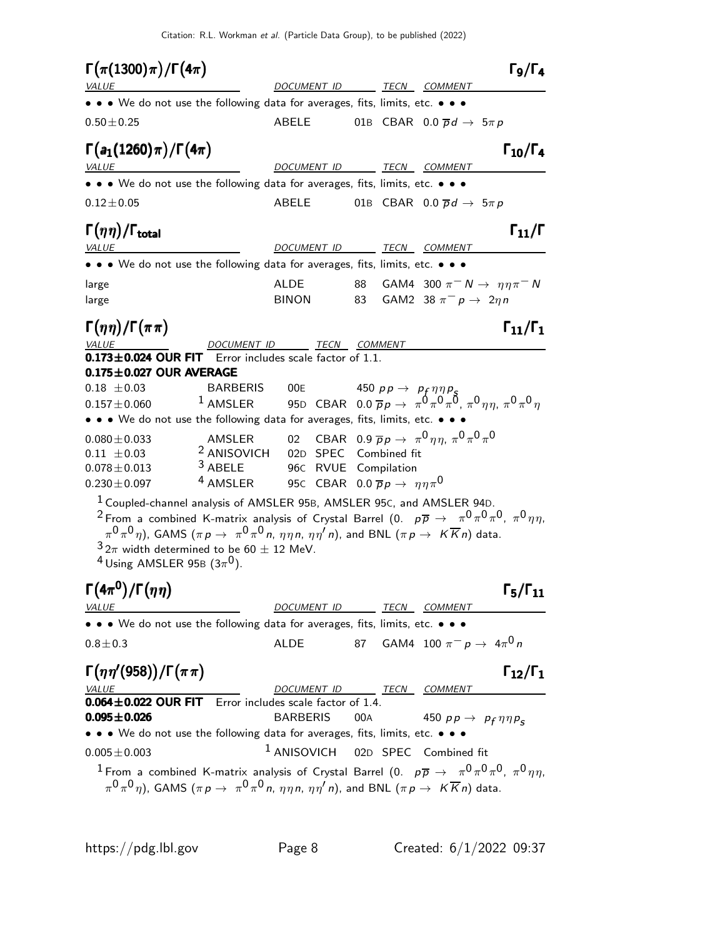Citation: R.L. Workman et al. (Particle Data Group), to be published (2022)

 $\Gamma(\pi(1300)\pi)/\Gamma(4\pi)$  Γ<sub>9</sub>/Γ<sub>4</sub>  $\Gamma_9/\Gamma_4$ VALUE **DOCUMENT ID** TECN COMMENT • • • We do not use the following data for averages, fits, limits, etc. • • •  $0.50 \pm 0.25$   $0.50 \pm 0.25$   $0.50 \pm 0.25$   $0.50 \pm 0.25$  $\Gamma(a_1(1260) \pi)/\Gamma(4\pi)$  Γ<sub>10</sub>/Γ<sub>4</sub> VALUE **ALUE DOCUMENT ID TECN COMMENT** • • • We do not use the following data for averages, fits, limits, etc. • • •  $0.12 \pm 0.05$  ABELE 01B CBAR  $0.0 \overline{p}d \rightarrow 5\pi p$ Γ $(\eta \eta)/\Gamma_{\text{total}}$  Γ $_{11}/\Gamma$ /Γ $_{\rm total}$  Γ $_{11}/$  Γ VALUE DOCUMENT ID TECN COMMENT • • • We do not use the following data for averages, fits, limits, etc. • • • large  $\begin{array}{ccccc} \texttt{AlDE} & \texttt{88} & \texttt{GAMA} & \texttt{300} & \pi^- \texttt{N} \rightarrow & \eta \eta \pi^- \texttt{N} \end{array}$ large BINON 83 GAM2 38  $\pi^-$  p → 2ηn Γ $(\eta \eta)/\Gamma(\pi \pi)$  Γ $_{11}/\Gamma_1$  $\Gamma_{11}/\Gamma_{1}$ VALUE DOCUMENT ID TECN COMMENT  $0.173\pm0.024$  OUR FIT Error includes scale factor of 1.1.  $0.175\pm0.027$  OUR AVERAGE  $0.18 \pm 0.03$  BARBERIS  $00$ E 450 pp  $\rightarrow$  p<sub>f</sub>  $\eta \eta p$ <sub>S</sub>  $0.157\pm0.060$   $^{-1}$  AMSLER  $^{-}$  95<code>D</code> CBAR  $\,$  0.0  $\overline{\rho}$   $\rho$   $\,\rightarrow$   $\,\pi^0 \pi^0 \pi^0$   $\pi^0 \eta \eta$   $\,\pi^0 \pi^0 \eta$ • • • We do not use the following data for averages, fits, limits, etc. •  $0.080\pm0.033$  AMSLER 02 CBAR  $0.9\ \overline{p} \,p\,\rightarrow \,\, \pi^0 \, \eta \eta, \, \pi^0 \, \pi^0 \, \pi^0$  $0.11 \pm 0.03$  <sup>2</sup> ANISOVICH 02D SPEC Combined fit  $0.078 \pm 0.013$  <sup>3</sup> ABELE 96C RVUE Compilation  $0.230 \pm 0.097$  4 AMSLER 95C CBAR  $0.0 \bar{p} p \to \eta \eta \pi^0$ <sup>1</sup> Coupled-channel analysis of AMSLER 95B, AMSLER 95C, and AMSLER 94D.  $^2$  From a combined K-matrix analysis of Crystal Barrel (0.  $\,$   $\,p\overline{p}$   $\rightarrow$   $\,$   $\pi^0\pi^0\pi^0$ ,  $\pi^0\eta\eta,$  $\pi^0\pi^0\eta)$ , GAMS  $(\pi \,p\to\ \pi^0\pi^0\,$ n,  $\eta\eta\,\eta,\ \eta\eta'\,$ n), and BNL  $(\pi\,p\to\ K\overline{K}\,$ n) data.  $32\pi$  width determined to be 60  $\pm$  12 MeV.  $^4$  Using AMSLER 95B (3 $\pi^0$ ). Γ $(4\pi^0)/\Gamma(\eta\eta)$  Γ<sub>5</sub>/Γ<sub>11</sub> <sup>0</sup>)/Γ $(nη)$  Γ<sub>5</sub>/Γ  $\Gamma_5/\Gamma_{11}$ VALUE DOCUMENT ID TECN COMMENT • • • We do not use the following data for averages, fits, limits, etc. • • •  $0.8\pm0.3$  ALDE 87 GAM4 100  $\pi^ p$   $\rightarrow$   $\,$   $4\pi^0$   $n$ Γ $(\eta \eta'$ (958))/Γ $(\pi \pi)$  Γ<sub>12</sub>/Γ<sub>1</sub>  $Γ_{12}/Γ_1$ VALUE COMMENT DOCUMENT ID TECN COMMENT  $0.064 \pm 0.022$  OUR FIT Error includes scale factor of 1.4. **0.095** $\pm$ **0.026** BARBERIS 00A 450 pp  $\rightarrow$  p<sub>f</sub>  $\eta \eta p_{\mathcal{S}}$ • • • We do not use the following data for averages, fits, limits, etc. • • •  $0.005 \pm 0.003$  1 ANISOVICH 02D SPEC Combined fit  $^1$  From a combined K-matrix analysis of Crystal Barrel (0.  $\,$   $\,p\overline{p}$   $\rightarrow$   $\,$   $\pi^0\pi^0\pi^0$ ,  $\pi^0\eta\eta,$  $\pi^0\pi^0\eta)$ , GAMS  $(\pi \,p\to\ \pi^0\pi^0\,$ n,  $\eta\eta\,\eta,\ \eta\eta'\,$ n), and BNL  $(\pi\, p\to\ K\overline{K}\,$ n) data.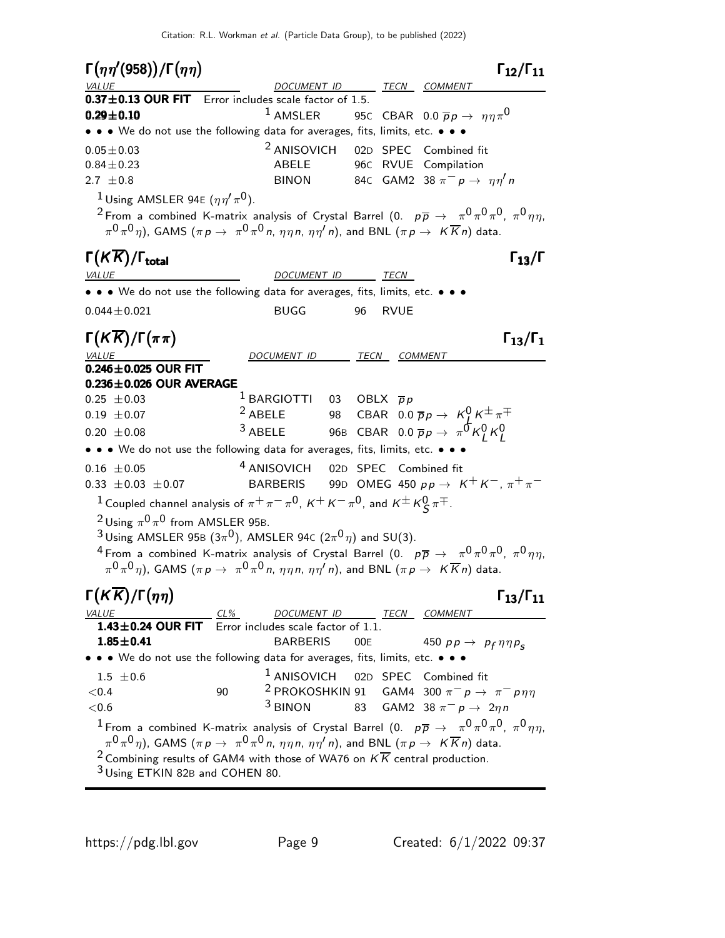Γ η η′ (958) /Γ η η Γ12/Γ<sup>11</sup> Γ <sup>1211</sup> η(958)/Γη η Γ12/Γ  $\Gamma_{12}/\Gamma_{11}$ TECN COMMENT  $0.37 \pm 0.13$  OUR FIT Error includes scale factor of 1.5. **0.29±0.10** <sup>1</sup> AMSLER 95C CBAR 0.0  $\bar{p}p \to \eta \eta \pi^0$ • • • We do not use the following data for averages, fits, limits, etc. • • •  $0.05 \pm 0.03$  2 ANISOVICH 02D SPEC Combined fit 0.84±0.23 ABELE 96C RVUE Compilation 2.7  $\pm$ 0.8 BINON 84C GAM2 38  $\pi^-$  p →  $\eta\eta'$  n <sup>1</sup> Using AMSLER 94E  $(\eta \eta' \pi^0)$ .  $^2$ From a combined K-matrix analysis of Crystal Barrel (0.  $\,$   $p\overline{p}$   $\rightarrow$   $\,$   $\pi^0\pi^0\pi^0$ ,  $\pi^0\eta\eta,$  $\pi^0\pi^0\eta)$ , GAMS  $(\pi \,p\to\ \pi^0\pi^0\,$ n,  $\eta\eta\,\eta,\ \eta\eta'\,$ n), and BNL  $(\pi\,p\to\ K\overline{K}\,$ n) data. Γ $(K\overline{K})/\Gamma_{\text{total}}$  Γ<sub>13</sub>/Γ /Γ $_{\rm total}$ Γ DOCUMENT ID TECN • • • We do not use the following data for averages, fits, limits, etc. • • • 0.044±0.021 BUGG 96 RVUE  $\Gamma(K\overline{K})/\Gamma(\pi\pi)$   $\Gamma_{13}/\Gamma_1$ )/Γ $(\pi \pi)$  Γ<sub>13</sub>/Γ VALUE DOCUMENT ID TECN COMMENT  $0.246 \pm 0.025$  OUR FIT  $0.236\pm0.026$  OUR AVERAGE  $0.25 \pm 0.03$  1 BARGIOTTI 03 OBLX  $\overline{p}p$ 0.19  $\pm$  0.07 <sup>2</sup> ABELE 98 CBAR 0.0  $\overline{p}p \rightarrow K_{\downarrow}^{0} K^{\pm} \pi^{\mp}$  $^{3}$  ABELE 96B CBAR 0.0  $\overline{p}p \rightarrow \pi^0 K^0_L K^0_L$ • • • We do not use the following data for averages, fits, limits, etc. • • •  $0.16 \pm 0.05$  4 ANISOVICH 02D SPEC Combined fit 0.33  $\pm$ 0.03  $\pm$ 0.07 BARBERIS 99D OMEG 450 pp → K<sup>+</sup> K<sup>-</sup>,  $\pi$ <sup>+</sup> $\pi$ <sup>-</sup>  $1$  Coupled channel analysis of  $\pi^+ \pi^- \pi^0$ ,  $\kappa^+ \kappa^- \pi^0$ , and  $\kappa^\pm \kappa^0_S \pi^\mp$ .  $2$  Using  $\pi^{0} \pi^{0}$  from AMSLER 95B.  $^3$ Using AMSLER 95<code>B</code> (3 $\pi^0$ ), AMSLER 94<code>C</code> (2 $\pi^0$  $\eta$ ) and SU(3).  $^4$  From a combined K-matrix analysis of Crystal Barrel (0.  $\,$   $\,p\overline{p}$   $\rightarrow$   $\,$   $\pi^0\pi^0\pi^0$ ,  $\pi^0\eta\eta,$  $\pi^0\pi^0\eta)$ , GAMS  $(\pi \, p \to \ \pi^0\pi^0\,$ n,  $\eta\eta\,$ n,  $\eta\eta'\,$ n), and BNL  $(\pi \, p \to \ K \overline{K}\,$ n) data. Γ(Κ $\overline{K}$ )/Γ(ηη) Γ<sub>13</sub>/Γ<sub>11</sub> )/Γ $(ηη)$  Γ<sub>13</sub>/Γ<sub>11</sub> VALUE CL% DOCUMENT ID TECN  $1.43\pm0.24$  OUR FIT Error includes scale factor of 1.1. **1.85** $\pm$ **0.41** BARBERIS 00E 450 pp  $\rightarrow$  p<sub>f</sub>  $\eta \eta p_{\mathcal{S}}$ • • • We do not use the following data for averages, fits, limits, etc. • • •  $1.5 \pm 0.6$ 1 ANISOVICH 02<sup>D</sup> SPEC Combined fit  $<$ 0.4 90 90 2 PROKOSHKIN 91 GAM4 300  $\pi^-$  p →  $\pi^-$  p $\eta\eta$  $< 0.6$  $3 \text{ BINON}$  83 GAM2 38  $\pi^- p \to 2\eta n$  $^1$  From a combined K-matrix analysis of Crystal Barrel (0.  $\,\overline{\rho}\,\overline{\rho}\,\rightarrow\,\,\pi^0\pi^0\pi^0$ ,  $\pi^0\eta\eta,$  $\pi^0\pi^0\eta)$ , GAMS  $(\pi \,p\to\ \pi^0\pi^0\,$ n,  $\eta\eta\,\eta,\ \eta\eta'\,$ n), and BNL  $(\pi\,p\to\ K\overline{K}\,$ n) data. <sup>2</sup> Combining results of GAM4 with those of WA76 on  $K\overline{K}$  central production. 3 Using ETKIN 82B and COHEN 80.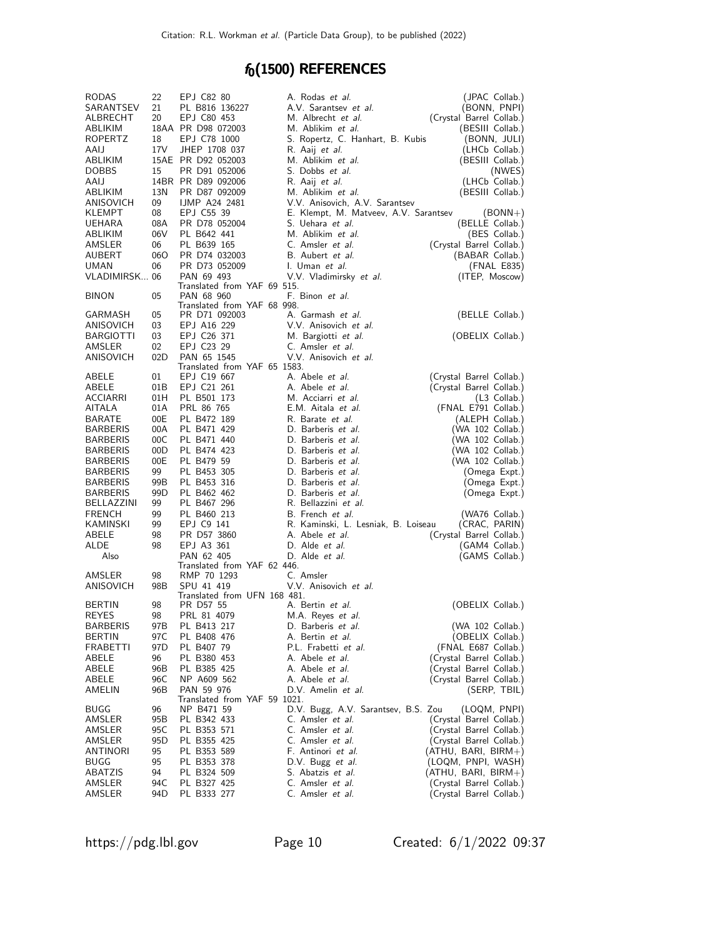# $f_0(1500)$  REFERENCES

| <b>RODAS</b>     | 22   | EPJ C82 80                                 | A. Rodas et al.                       | (JPAC Collab.)           |
|------------------|------|--------------------------------------------|---------------------------------------|--------------------------|
| SARANTSEV        | 21   | PL B816 136227                             | A.V. Sarantsev et al.                 | (BONN, PNPI)             |
| ALBRECHT         | 20   | EPJ C80 453                                | M. Albrecht <i>et al.</i>             | (Crystal Barrel Collab.) |
| ABLIKIM          |      | 18AA PR D98 072003                         | M. Ablikim <i>et al.</i>              | (BESIII Collab.)         |
| ROPERTZ          | 18   | EPJ C78 1000                               | S. Ropertz, C. Hanhart, B. Kubis      | (BONN, JULI)             |
| AAIJ             | 17V  | JHEP 1708 037                              | R. Aaij <i>et al.</i>                 | (LHCb Collab.)           |
| ABLIKIM          |      | 15AE PR D92 052003                         | M. Ablikim et al.                     | (BESIII Collab.)         |
| <b>DOBBS</b>     | 15   | PR D91 052006                              | S. Dobbs <i>et al.</i>                | (NWES)                   |
| AAIJ             |      | 14BR PR D89 092006                         | R. Aaij <i>et al.</i>                 | (LHCb Collab.)           |
| ABLIKIM          | 13N  | PR D87 092009                              | M. Ablikim <i>et al.</i>              | (BESIII Collab.)         |
| ANISOVICH        | 09   | <b>IJMP A24 2481</b>                       | V.V. Anisovich, A.V. Sarantsev        |                          |
| KLEMPT           | 08   | EPJ C55 39                                 | E. Klempt, M. Matveev, A.V. Sarantsev | $(BONN+)$                |
| UEHARA           | 08A  | PR D78 052004                              | S. Uehara <i>et al.</i>               | (BELLE Collab.)          |
| ABLIKIM          | 06V  | PL B642 441                                | M. Ablikim et al.                     | (BES Collab.)            |
| AMSLER           | 06   | PL B639 165                                | C. Amsler et al.                      | (Crystal Barrel Collab.) |
| AUBERT           | 060  | PR D74 032003                              | B. Aubert <i>et al.</i>               | (BABAR Collab.)          |
| <b>UMAN</b>      | 06   | PR D73 052009                              | I. Uman et al.                        | (FNAL E835)              |
| VLADIMIRSK 06    |      | PAN 69 493                                 | V.V. Vladimirsky et al.               | (ITEP, Moscow)           |
|                  |      | Translated from YAF 69 515.                |                                       |                          |
| <b>BINON</b>     | 05   | PAN 68 960                                 | F. Binon et al.                       |                          |
|                  |      | Translated from YAF 68 998.                |                                       |                          |
| GARMASH          | 05   | PR D71 092003                              | A. Garmash et al.                     | (BELLE Collab.)          |
| ANISOVICH        | 03   | EPJ A16 229                                | V.V. Anisovich et al.                 |                          |
| <b>BARGIOTTI</b> | 03   | EPJ C26 371                                | M. Bargiotti et al.                   | (OBELIX Collab.)         |
| AMSLER           | 02   | EPJ C23 29                                 | C. Amsler et al.                      |                          |
| ANISOVICH        | 02D  | PAN 65 1545                                | V.V. Anisovich et al.                 |                          |
|                  |      | Translated from YAF 65 1583.               |                                       |                          |
| ABELE            | 01   | EPJ C19 667                                | A. Abele <i>et al.</i>                | (Crystal Barrel Collab.) |
| ABELE            | 01B  | EPJ C21 261                                | A. Abele <i>et al.</i>                | (Crystal Barrel Collab.) |
| <b>ACCIARRI</b>  | 01H  | PL B501 173                                | M. Acciarri et al.                    | $(L3$ Collab.)           |
| AITALA           | 01A  | PRL 86 765                                 | E.M. Aitala et al.                    | (FNAL E791 Collab.)      |
| BARATE           | 00E  | PL B472 189                                | R. Barate et al.                      | (ALEPH Collab.)          |
| <b>BARBERIS</b>  | 00A  | PL B471 429                                | D. Barberis et al.                    | (WA 102 Collab.)         |
| <b>BARBERIS</b>  | 00C  | PL B471 440                                | D. Barberis et al.                    | (WA 102 Collab.)         |
| <b>BARBERIS</b>  | 00D  | PL B474 423                                | D. Barberis et al.                    | (WA 102 Collab.)         |
| <b>BARBERIS</b>  | 00E  | PL B479 59                                 | D. Barberis et al.                    | (WA 102 Collab.)         |
| <b>BARBERIS</b>  | 99   | PL B453 305                                | D. Barberis et al.                    | (Omega Expt.)            |
| <b>BARBERIS</b>  | 99B  | PL B453 316                                | D. Barberis et al.                    | (Omega Expt.)            |
| <b>BARBERIS</b>  | 99D  | PL B462 462                                | D. Barberis et al.                    | (Omega Expt.)            |
| BELLAZZINI       | 99   | PL B467 296                                | R. Bellazzini et al.                  |                          |
| <b>FRENCH</b>    | 99   | PL B460 213                                | B. French et al.                      | (WA76 Collab.)           |
| KAMINSKI         | 99   | EPJ C9 141                                 | R. Kaminski, L. Lesniak, B. Loiseau   | (CRAC, PARIN)            |
| ABELE            | 98   | PR D57 3860                                | A. Abele et al.                       | (Crystal Barrel Collab.) |
| ALDE             | 98   | EPJ A3 361                                 | D. Alde et al.                        | (GAM4 Collab.)           |
| Also             |      | PAN 62 405                                 | D. Alde et al.                        | (GAMS Collab.)           |
|                  |      | Translated from YAF 62 446.                |                                       |                          |
| AMSLER           | 98   | RMP 70 1293                                | C. Amsler                             |                          |
| ANISOVICH        | 98B  | SPU 41 419<br>Translated from UFN 168 481. | V.V. Anisovich et al.                 |                          |
| <b>BERTIN</b>    | 98   | PR D57 55                                  | A. Bertin et al.                      | (OBELIX Collab.)         |
| REYES            | 98   | PRL 81 4079                                | M.A. Reyes et al.                     |                          |
| <b>BARBERIS</b>  | 97B  | PL B413 217                                | D. Barberis et al.                    | (WA 102 Collab.)         |
| BERTIN           | 97 C | PL B408 476                                | A. Bertin <i>et al.</i>               | (OBELIX Collab.)         |
| <b>FRABETTI</b>  | 97D  | PL B407 79                                 | P.L. Frabetti et al.                  | (FNAL E687 Collab.)      |
| ABELE            | 96   | PL B380 453                                | A. Abele <i>et al.</i>                | (Crystal Barrel Collab.) |
| ABELE            | 96B  | PL B385 425                                | A. Abele <i>et al.</i>                | (Crystal Barrel Collab.) |
| ABELE            | 96C  | NP A609 562                                | A. Abele et al.                       |                          |
| AMELIN           | 96B  | PAN 59 976                                 | D.V. Amelin et al.                    | (Crystal Barrel Collab.) |
|                  |      | Translated from YAF 59 1021.               |                                       | (SERP, TBIL)             |
| BUGG             | 96   | NP B471 59                                 | D.V. Bugg, A.V. Sarantsev, B.S. Zou   | (LOQM, PNPI)             |
| AMSLER           | 95B  | PL B342 433                                | C. Amsler et al.                      | (Crystal Barrel Collab.) |
| AMSLER           | 95C  | PL B353 571                                | C. Amsler <i>et al.</i>               | (Crystal Barrel Collab.) |
| AMSLER           | 95D  | PL B355 425                                | C. Amsler et al.                      | (Crystal Barrel Collab.) |
| ANTINORI         | 95   | PL B353 589                                | F. Antinori et al.                    | (ATHU, BARI, BIRM+)      |
| BUGG             | 95   | PL B353 378                                | D.V. Bugg et al.                      | (LOQM, PNPI, WASH)       |
| ABATZIS          | 94   | PL B324 509                                | S. Abatzis et al.                     | (ATHU, BARI, BIRM+)      |
| AMSLER           | 94C  | PL B327 425                                | C. Amsler et al.                      | (Crystal Barrel Collab.) |
| AMSLER           | 94D  | PL B333 277                                | C. Amsler <i>et al.</i>               | (Crystal Barrel Collab.) |
|                  |      |                                            |                                       |                          |